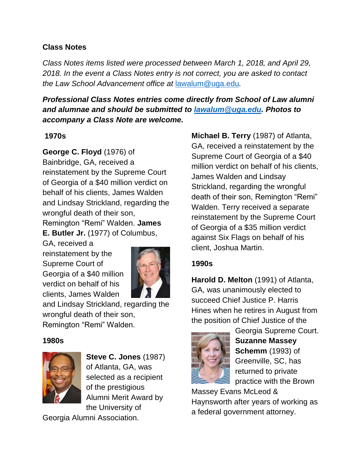# **Class Notes**

*Class Notes items listed were processed between March 1, 2018, and April 29, 2018. In the event a Class Notes entry is not correct, you are asked to contact the Law School Advancement office at* [lawalum@uga.edu](mailto:lawalum@uga.edu)*.*

*Professional Class Notes entries come directly from School of Law alumni and alumnae and should be submitted to [lawalum@uga.edu.](mailto:lawalum@uga.edu) Photos to accompany a Class Note are welcome.*

## **1970s**

**George C. Floyd** (1976) of

Bainbridge, GA, received a reinstatement by the Supreme Court of Georgia of a \$40 million verdict on behalf of his clients, James Walden and Lindsay Strickland, regarding the wrongful death of their son, Remington "Remi" Walden. **James E. Butler Jr.** (1977) of Columbus,

GA, received a reinstatement by the Supreme Court of Georgia of a \$40 million verdict on behalf of his clients, James Walden



and Lindsay Strickland, regarding the wrongful death of their son, Remington "Remi" Walden.

## **1980s**



**Steve C. Jones** (1987) of Atlanta, GA, was selected as a recipient of the prestigious Alumni Merit Award by the University of

Georgia Alumni Association.

**Michael B. Terry** (1987) of Atlanta, GA, received a reinstatement by the Supreme Court of Georgia of a \$40 million verdict on behalf of his clients, James Walden and Lindsay Strickland, regarding the wrongful death of their son, Remington "Remi" Walden. Terry received a separate reinstatement by the Supreme Court of Georgia of a \$35 million verdict against Six Flags on behalf of his client, Joshua Martin.

# **1990s**

**Harold D. Melton** (1991) of Atlanta, GA, was unanimously elected to succeed Chief Justice P. Harris Hines when he retires in August from the position of Chief Justice of the



Georgia Supreme Court. **Suzanne Massey Schemm** (1993) of Greenville, SC, has returned to private practice with the Brown

Massey Evans McLeod & Haynsworth after years of working as a federal government attorney.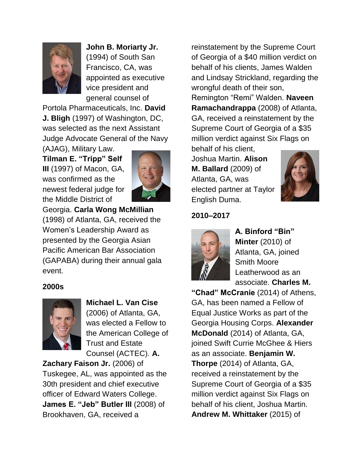

**John B. Moriarty Jr.**  (1994) of South San Francisco, CA, was appointed as executive vice president and general counsel of

Portola Pharmaceuticals, Inc. **David J. Bligh** (1997) of Washington, DC, was selected as the next Assistant Judge Advocate General of the Navy

(AJAG), Military Law. **Tilman E. "Tripp" Self III** (1997) of Macon, GA, was confirmed as the newest federal judge for the Middle District of



Georgia. **Carla Wong McMillian**  (1998) of Atlanta, GA, received the Women's Leadership Award as presented by the Georgia Asian Pacific American Bar Association (GAPABA) during their annual gala event.

#### **2000s**



**Michael L. Van Cise**  (2006) of Atlanta, GA, was elected a Fellow to the American College of Trust and Estate Counsel (ACTEC). **A.** 

**Zachary Faison Jr.** (2006) of Tuskegee, AL, was appointed as the 30th president and chief executive officer of Edward Waters College. **James E. "Jeb" Butler III** (2008) of Brookhaven, GA, received a

reinstatement by the Supreme Court of Georgia of a \$40 million verdict on behalf of his clients, James Walden and Lindsay Strickland, regarding the wrongful death of their son, Remington "Remi" Walden. **Naveen Ramachandrappa** (2008) of Atlanta, GA, received a reinstatement by the Supreme Court of Georgia of a \$35 million verdict against Six Flags on behalf of his client,

Joshua Martin. **Alison M. Ballard** (2009) of Atlanta, GA, was elected partner at Taylor English Duma.



# **2010–2017**



**A. Binford "Bin" Minter** (2010) of Atlanta, GA, joined Smith Moore Leatherwood as an associate. **Charles M.** 

**"Chad" McCranie** (2014) of Athens, GA, has been named a Fellow of Equal Justice Works as part of the Georgia Housing Corps. **Alexander McDonald** (2014) of Atlanta, GA, joined Swift Currie McGhee & Hiers as an associate. **Benjamin W. Thorpe** (2014) of Atlanta, GA, received a reinstatement by the Supreme Court of Georgia of a \$35 million verdict against Six Flags on behalf of his client, Joshua Martin. **Andrew M. Whittaker** (2015) of